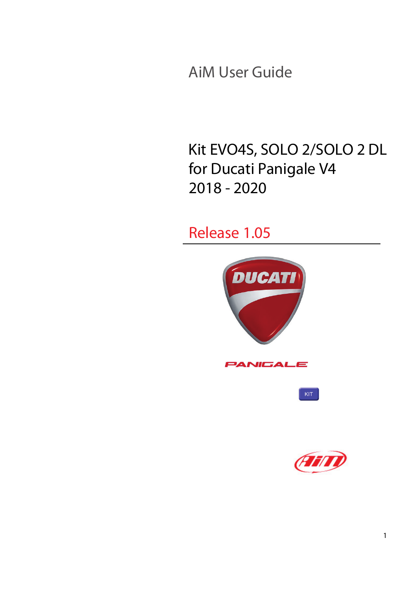AiM User Guide

#### Kit EVO4S, SOLO 2/SOLO 2 DL for Ducati Panigale V4 2018 - 2020

#### Release 1.05



KIT

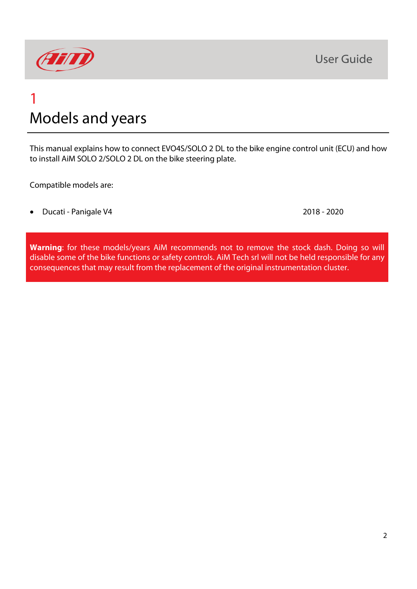

#### 1 Models and years

This manual explains how to connect EVO4S/SOLO 2 DL to the bike engine control unit (ECU) and how to install AiM SOLO 2/SOLO 2 DL on the bike steering plate.

Compatible models are:

• Ducati - Panigale V4 2018 - 2020

**Warning**: for these models/years AiM recommends not to remove the stock dash. Doing so will disable some of the bike functions or safety controls. AiM Tech srl will not be held responsible for any consequences that may result from the replacement of the original instrumentation cluster.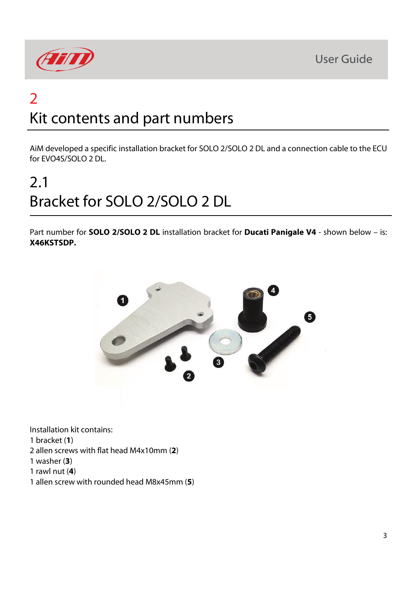



# 2 Kit contents and part numbers

AiM developed a specific installation bracket for SOLO 2/SOLO 2 DL and a connection cable to the ECU for EVO4S/SOLO 2 DL.

# 2.1 Bracket for SOLO 2/SOLO 2 DL

Part number for **SOLO 2/SOLO 2 DL** installation bracket for **Ducati Panigale V4** - shown below – is: **X46KSTSDP.**



Installation kit contains:

- 1 bracket (**1**)
- 2 allen screws with flat head M4x10mm (**2**)
- 1 washer (**3**)
- 1 rawl nut (**4**)
- 1 allen screw with rounded head M8x45mm (**5**)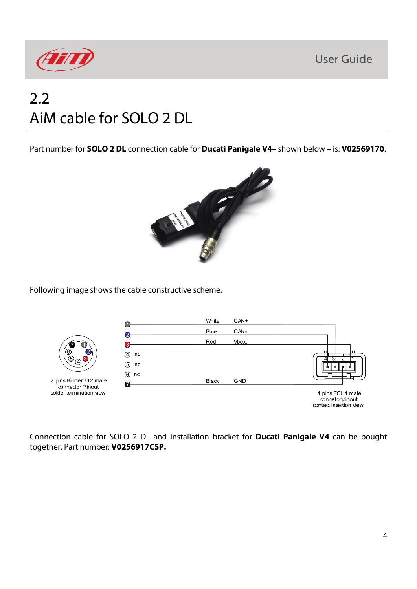

# 2.2 AiM cable for SOLO 2 DL

Part number for **SOLO 2 DL** connection cable for **Ducati Panigale V4**– shown below – is: **V02569170**.



Following image shows the cable constructive scheme.



connetor pinout contact insertion view

Connection cable for SOLO 2 DL and installation bracket for **Ducati Panigale V4** can be bought together. Part number: **V0256917CSP.**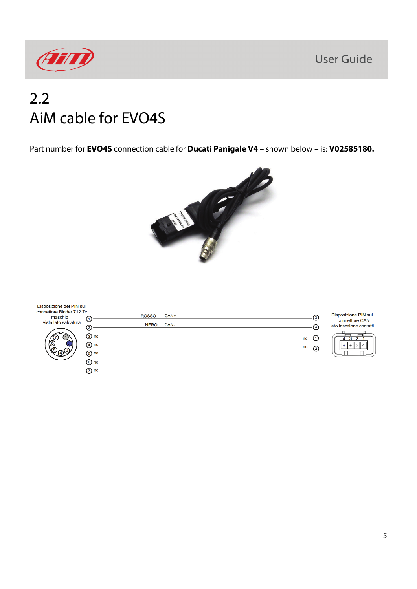



#### 2.2 AiM cable for EVO4S

Part number for **EVO4S** connection cable for **Ducati Panigale V4** – shown below – is: **V02585180.**



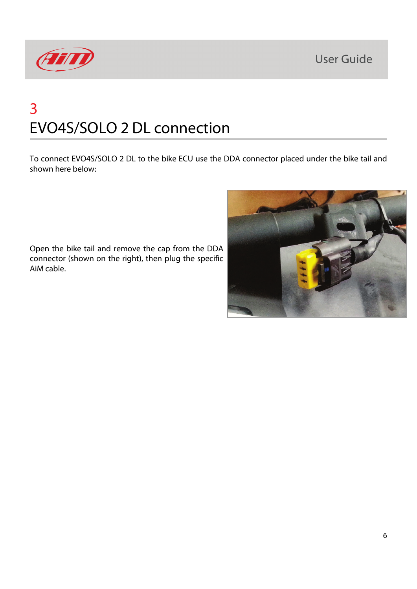

# 3 EVO4S/SOLO 2 DL connection

To connect EVO4S/SOLO 2 DL to the bike ECU use the DDA connector placed under the bike tail and shown here below:

Open the bike tail and remove the cap from the DDA connector (shown on the right), then plug the specific AiM cable.

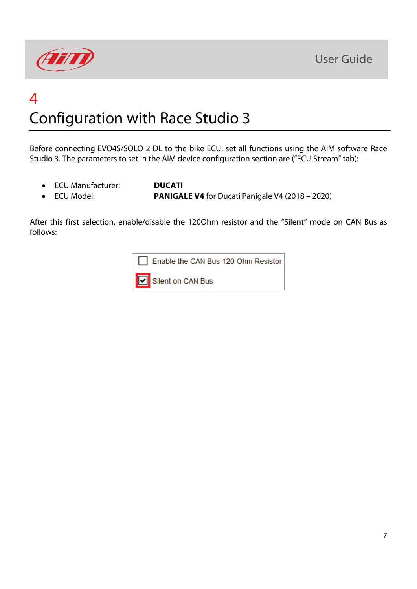



#### 4 Configuration with Race Studio 3

Before connecting EVO4S/SOLO 2 DL to the bike ECU, set all functions using the AiM software Race Studio 3. The parameters to set in the AiM device configuration section are ("ECU Stream" tab):

- ECU Manufacturer: **DUCATI**
	-
- 
- ECU Model: **PANIGALE V4** for Ducati Panigale V4 (2018 2020)

After this first selection, enable/disable the 120Ohm resistor and the "Silent" mode on CAN Bus as follows:

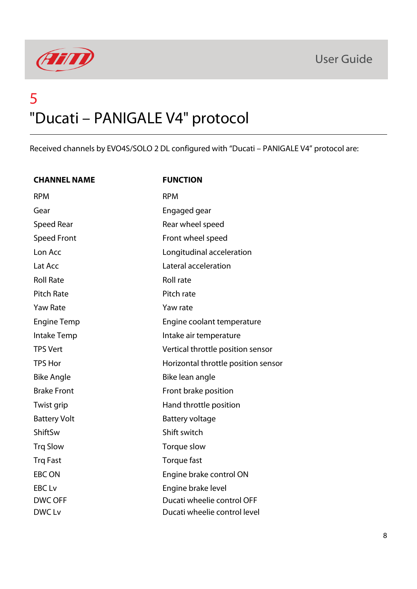



# 5 "Ducati – PANIGALE V4" protocol

Received channels by EVO4S/SOLO 2 DL configured with "Ducati – PANIGALE V4" protocol are:

| <b>CHANNEL NAME</b> | <b>FUNCTION</b>                     |
|---------------------|-------------------------------------|
| <b>RPM</b>          | <b>RPM</b>                          |
| Gear                | Engaged gear                        |
| <b>Speed Rear</b>   | Rear wheel speed                    |
| <b>Speed Front</b>  | Front wheel speed                   |
| Lon Acc             | Longitudinal acceleration           |
| Lat Acc             | Lateral acceleration                |
| <b>Roll Rate</b>    | Roll rate                           |
| <b>Pitch Rate</b>   | Pitch rate                          |
| <b>Yaw Rate</b>     | Yaw rate                            |
| <b>Engine Temp</b>  | Engine coolant temperature          |
| <b>Intake Temp</b>  | Intake air temperature              |
| <b>TPS Vert</b>     | Vertical throttle position sensor   |
| <b>TPS Hor</b>      | Horizontal throttle position sensor |
| <b>Bike Angle</b>   | Bike lean angle                     |
| <b>Brake Front</b>  | Front brake position                |
| Twist grip          | Hand throttle position              |
| <b>Battery Volt</b> | <b>Battery voltage</b>              |
| ShiftSw             | Shift switch                        |
| <b>Trq Slow</b>     | Torque slow                         |
| <b>Trg Fast</b>     | Torque fast                         |
| <b>EBC ON</b>       | Engine brake control ON             |
| <b>EBC Lv</b>       | Engine brake level                  |
| <b>DWC OFF</b>      | Ducati wheelie control OFF          |
| DWC Lv              | Ducati wheelie control level        |